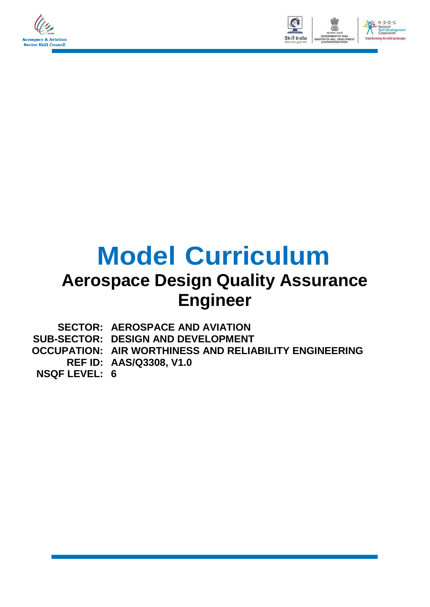



# **Model Curriculum**

## **Aerospace Design Quality Assurance Engineer**

|                      | <b>SECTOR: AEROSPACE AND AVIATION</b>                    |
|----------------------|----------------------------------------------------------|
|                      | <b>SUB-SECTOR: DESIGN AND DEVELOPMENT</b>                |
|                      | OCCUPATION:   AIR WORTHINESS AND RELIABILITY ENGINEERING |
|                      | <b>REF ID: AAS/Q3308, V1.0</b>                           |
| <b>NSQF LEVEL: 6</b> |                                                          |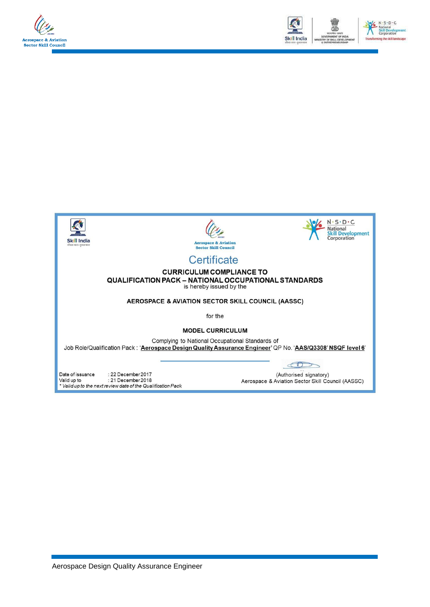





June of the Security of the Security of the Valid up to<br>Valid up to the next review date of the Qualification Pack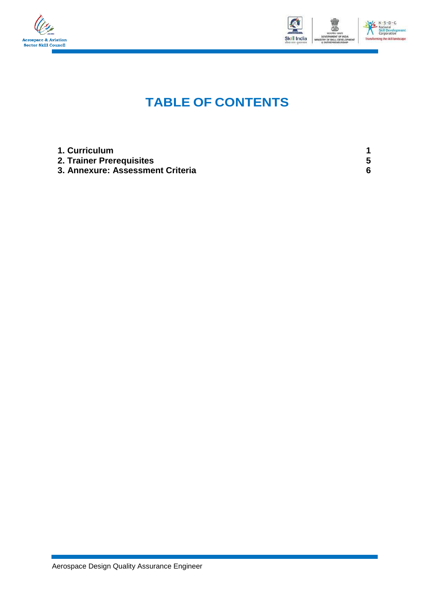



### **TABLE OF CONTENTS**

| 1. Curriculum                    |   |
|----------------------------------|---|
| 2. Trainer Prerequisites         |   |
| 3. Annexure: Assessment Criteria | հ |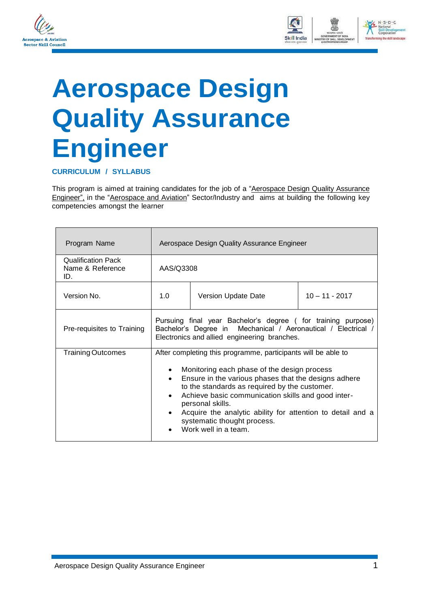



## <span id="page-3-0"></span>**Aerospace Design Quality Assurance Engineer**

**CURRICULUM / SYLLABUS**

This program is aimed at training candidates for the job of a "Aerospace Design Quality Assurance Engineer", in the "Aerospace and Aviation" Sector/Industry and aims at building the following key competencies amongst the learner

| Program Name                                         | Aerospace Design Quality Assurance Engineer                                                                                                                                                                                                                                                                                                                                                                          |                     |                  |  |  |
|------------------------------------------------------|----------------------------------------------------------------------------------------------------------------------------------------------------------------------------------------------------------------------------------------------------------------------------------------------------------------------------------------------------------------------------------------------------------------------|---------------------|------------------|--|--|
| <b>Qualification Pack</b><br>Name & Reference<br>ID. |                                                                                                                                                                                                                                                                                                                                                                                                                      | AAS/Q3308           |                  |  |  |
| Version No.                                          | 1.0                                                                                                                                                                                                                                                                                                                                                                                                                  | Version Update Date | $10 - 11 - 2017$ |  |  |
| Pre-requisites to Training                           | Pursuing final year Bachelor's degree (for training purpose)<br>Bachelor's Degree in Mechanical / Aeronautical / Electrical /<br>Electronics and allied engineering branches.                                                                                                                                                                                                                                        |                     |                  |  |  |
| <b>Training Outcomes</b>                             | After completing this programme, participants will be able to<br>Monitoring each phase of the design process<br>Ensure in the various phases that the designs adhere<br>to the standards as required by the customer.<br>Achieve basic communication skills and good inter-<br>personal skills.<br>Acquire the analytic ability for attention to detail and a<br>systematic thought process.<br>Work well in a team. |                     |                  |  |  |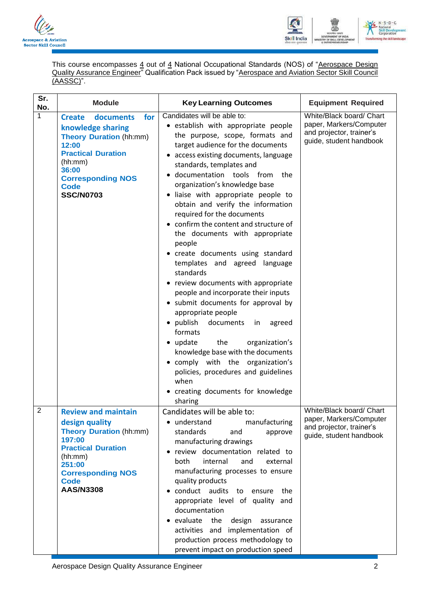



This course encompasses 4 out of 4 National Occupational Standards (NOS) of "Aerospace Design Quality Assurance Engineer" Qualification Pack issued by "Aerospace and Aviation Sector Skill Council (AASSC)".

| Sr.<br>No.     | <b>Module</b>                                                                                                                                                                                                     | <b>Key Learning Outcomes</b>                                                                                                                                                                                                                                                                                                                                                                                                                                                                                                                                                                                                                                                                                                                                                                                                                                                                                                                                              |                                                                                                            |
|----------------|-------------------------------------------------------------------------------------------------------------------------------------------------------------------------------------------------------------------|---------------------------------------------------------------------------------------------------------------------------------------------------------------------------------------------------------------------------------------------------------------------------------------------------------------------------------------------------------------------------------------------------------------------------------------------------------------------------------------------------------------------------------------------------------------------------------------------------------------------------------------------------------------------------------------------------------------------------------------------------------------------------------------------------------------------------------------------------------------------------------------------------------------------------------------------------------------------------|------------------------------------------------------------------------------------------------------------|
| $\mathbf{1}$   | documents<br>for<br><b>Create</b><br>knowledge sharing<br><b>Theory Duration (hh:mm)</b><br>12:00<br><b>Practical Duration</b><br>(hh:mm)<br>36:00<br><b>Corresponding NOS</b><br><b>Code</b><br><b>SSC/N0703</b> | Candidates will be able to:<br>· establish with appropriate people<br>the purpose, scope, formats and<br>target audience for the documents<br>access existing documents, language<br>standards, templates and<br>· documentation tools from<br>the<br>organization's knowledge base<br>liaise with appropriate people to<br>obtain and verify the information<br>required for the documents<br>confirm the content and structure of<br>the documents with appropriate<br>people<br>create documents using standard<br>templates and agreed language<br>standards<br>• review documents with appropriate<br>people and incorporate their inputs<br>• submit documents for approval by<br>appropriate people<br>publish<br>documents<br>agreed<br>in<br>formats<br>• update<br>the<br>organization's<br>knowledge base with the documents<br>• comply with the organization's<br>policies, procedures and guidelines<br>when<br>creating documents for knowledge<br>sharing | White/Black board/ Chart<br>paper, Markers/Computer<br>and projector, trainer's<br>guide, student handbook |
| $\overline{2}$ | <b>Review and maintain</b><br>design quality<br><b>Theory Duration (hh:mm)</b><br>197:00<br><b>Practical Duration</b><br>(hh:mm)<br>251:00<br><b>Corresponding NOS</b><br><b>Code</b><br><b>AAS/N3308</b>         | Candidates will be able to:<br>manufacturing<br>understand<br>standards<br>and<br>approve<br>manufacturing drawings<br>review documentation related to<br>internal<br>both<br>and<br>external<br>manufacturing processes to ensure<br>quality products<br>conduct audits to ensure<br>the<br>appropriate level of quality and<br>documentation<br>evaluate the<br>design<br>assurance<br>activities and implementation of<br>production process methodology to<br>prevent impact on production speed                                                                                                                                                                                                                                                                                                                                                                                                                                                                      | White/Black board/ Chart<br>paper, Markers/Computer<br>and projector, trainer's<br>guide, student handbook |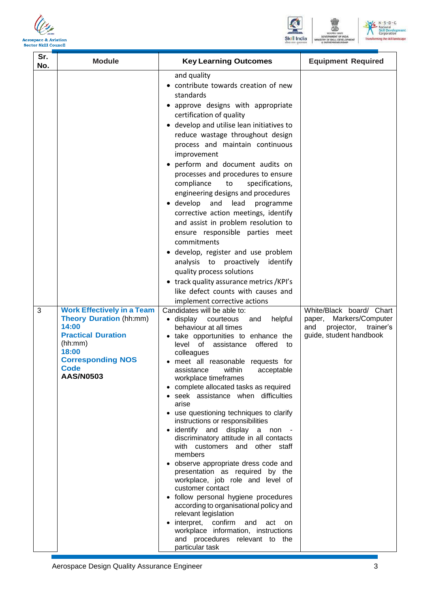





| Sr.<br>No. | <b>Module</b>                                                                                                                                                                                | <b>Key Learning Outcomes</b>                                                                                                                                                                                                                                                                                                                                                                                                                                                                                                                                                                                                                                                                                                                                                                                                                                                                                                                                                                                                                                                                                                                                                                                                                                                                                                                                                                                                                                                                                                                                                                                                                                                                                                                                                                                                    | <b>Equipment Required</b>                                                                                           |
|------------|----------------------------------------------------------------------------------------------------------------------------------------------------------------------------------------------|---------------------------------------------------------------------------------------------------------------------------------------------------------------------------------------------------------------------------------------------------------------------------------------------------------------------------------------------------------------------------------------------------------------------------------------------------------------------------------------------------------------------------------------------------------------------------------------------------------------------------------------------------------------------------------------------------------------------------------------------------------------------------------------------------------------------------------------------------------------------------------------------------------------------------------------------------------------------------------------------------------------------------------------------------------------------------------------------------------------------------------------------------------------------------------------------------------------------------------------------------------------------------------------------------------------------------------------------------------------------------------------------------------------------------------------------------------------------------------------------------------------------------------------------------------------------------------------------------------------------------------------------------------------------------------------------------------------------------------------------------------------------------------------------------------------------------------|---------------------------------------------------------------------------------------------------------------------|
| 3          | <b>Work Effectively in a Team</b><br><b>Theory Duration (hh:mm)</b><br>14:00<br><b>Practical Duration</b><br>(hh:mm)<br>18:00<br><b>Corresponding NOS</b><br><b>Code</b><br><b>AAS/N0503</b> | and quality<br>• contribute towards creation of new<br>standards<br>• approve designs with appropriate<br>certification of quality<br>• develop and utilise lean initiatives to<br>reduce wastage throughout design<br>process and maintain continuous<br>improvement<br>• perform and document audits on<br>processes and procedures to ensure<br>specifications,<br>compliance<br>to<br>engineering designs and procedures<br>$\bullet$ develop<br>and lead<br>programme<br>corrective action meetings, identify<br>and assist in problem resolution to<br>ensure responsible parties meet<br>commitments<br>· develop, register and use problem<br>analysis to proactively identify<br>quality process solutions<br>• track quality assurance metrics /KPI's<br>like defect counts with causes and<br>implement corrective actions<br>Candidates will be able to:<br>helpful<br>$\bullet$ display<br>courteous<br>and<br>behaviour at all times<br>• take opportunities to enhance the<br>level of assistance<br>offered<br>to<br>colleagues<br>meet all reasonable requests for<br>within<br>acceptable<br>assistance<br>workplace timeframes<br>complete allocated tasks as required<br>seek assistance when difficulties<br>arise<br>use questioning techniques to clarify<br>instructions or responsibilities<br>identify and display a non -<br>discriminatory attitude in all contacts<br>with customers and other staff<br>members<br>· observe appropriate dress code and<br>presentation as required by the<br>workplace, job role and level of<br>customer contact<br>· follow personal hygiene procedures<br>according to organisational policy and<br>relevant legislation<br>interpret, confirm<br>and<br>act<br>on<br>workplace information, instructions<br>and procedures relevant to the<br>particular task | White/Black board/ Chart<br>Markers/Computer<br>paper,<br>projector,<br>trainer's<br>and<br>guide, student handbook |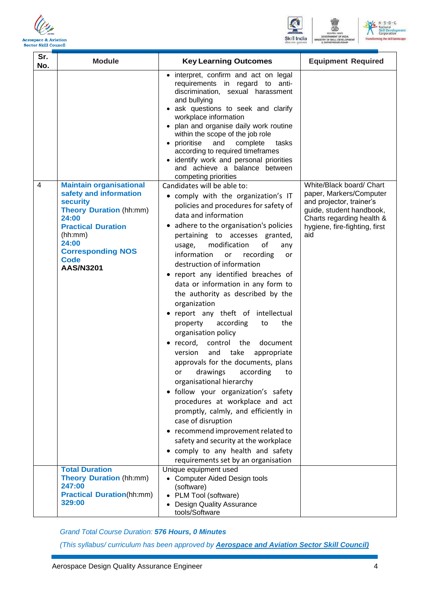





| Sr.<br>No. | <b>Module</b>                                                                                                                                                                                                                          | <b>Key Learning Outcomes</b>                                                                                                                                                                                                                                                                                                                                                                                                                                                                                                                                                                                                                                                                                                                                                                                                                                                                                                                                                                                                                                   | <b>Equipment Required</b>                                                                                                                                                        |
|------------|----------------------------------------------------------------------------------------------------------------------------------------------------------------------------------------------------------------------------------------|----------------------------------------------------------------------------------------------------------------------------------------------------------------------------------------------------------------------------------------------------------------------------------------------------------------------------------------------------------------------------------------------------------------------------------------------------------------------------------------------------------------------------------------------------------------------------------------------------------------------------------------------------------------------------------------------------------------------------------------------------------------------------------------------------------------------------------------------------------------------------------------------------------------------------------------------------------------------------------------------------------------------------------------------------------------|----------------------------------------------------------------------------------------------------------------------------------------------------------------------------------|
|            |                                                                                                                                                                                                                                        | • interpret, confirm and act on legal<br>requirements in regard to anti-<br>discrimination, sexual harassment<br>and bullying<br>· ask questions to seek and clarify<br>workplace information<br>plan and organise daily work routine<br>within the scope of the job role<br>prioritise<br>and<br>complete<br>tasks<br>according to required timeframes<br>· identify work and personal priorities<br>and achieve a balance between<br>competing priorities                                                                                                                                                                                                                                                                                                                                                                                                                                                                                                                                                                                                    |                                                                                                                                                                                  |
| 4          | <b>Maintain organisational</b><br>safety and information<br><b>security</b><br><b>Theory Duration (hh:mm)</b><br>24:00<br><b>Practical Duration</b><br>(hh:mm)<br>24:00<br><b>Corresponding NOS</b><br><b>Code</b><br><b>AAS/N3201</b> | Candidates will be able to:<br>• comply with the organization's IT<br>policies and procedures for safety of<br>data and information<br>adhere to the organisation's policies<br>pertaining to accesses granted,<br>modification<br>οf<br>usage,<br>any<br>information<br>recording<br><b>or</b><br>or<br>destruction of information<br>• report any identified breaches of<br>data or information in any form to<br>the authority as described by the<br>organization<br>• report any theft of intellectual<br>property<br>according<br>the<br>to<br>organisation policy<br>record,<br>control the<br>document<br>and<br>take<br>version<br>appropriate<br>approvals for the documents, plans<br>according<br>drawings<br>or<br>to<br>organisational hierarchy<br>· follow your organization's safety<br>procedures at workplace and act<br>promptly, calmly, and efficiently in<br>case of disruption<br>• recommend improvement related to<br>safety and security at the workplace<br>comply to any health and safety<br>requirements set by an organisation | White/Black board/ Chart<br>paper, Markers/Computer<br>and projector, trainer's<br>guide, student handbook,<br>Charts regarding health &<br>hygiene, fire-fighting, first<br>aid |
|            | <b>Total Duration</b><br><b>Theory Duration (hh:mm)</b><br>247:00<br><b>Practical Duration(hh:mm)</b><br>329:00                                                                                                                        | Unique equipment used<br>• Computer Aided Design tools<br>(software)<br>• PLM Tool (software)                                                                                                                                                                                                                                                                                                                                                                                                                                                                                                                                                                                                                                                                                                                                                                                                                                                                                                                                                                  |                                                                                                                                                                                  |
|            |                                                                                                                                                                                                                                        | <b>Design Quality Assurance</b><br>tools/Software                                                                                                                                                                                                                                                                                                                                                                                                                                                                                                                                                                                                                                                                                                                                                                                                                                                                                                                                                                                                              |                                                                                                                                                                                  |

*Grand Total Course Duration: 576 Hours, 0 Minutes*

*(This syllabus/ curriculum has been approved by Aerospace and Aviation Sector Skill Council)*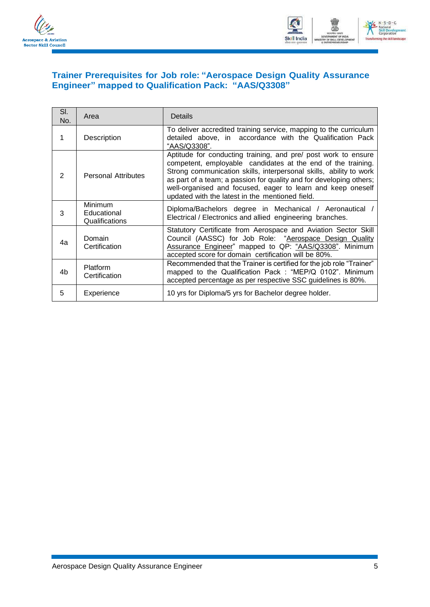



### <span id="page-7-0"></span>**Trainer Prerequisites for Job role: "Aerospace Design Quality Assurance Engineer" mapped to Qualification Pack: "AAS/Q3308"**

| SI.<br>No. | Area                                            | Details                                                                                                                                                                                                                                                                                                                                                                                       |
|------------|-------------------------------------------------|-----------------------------------------------------------------------------------------------------------------------------------------------------------------------------------------------------------------------------------------------------------------------------------------------------------------------------------------------------------------------------------------------|
| 1          | Description                                     | To deliver accredited training service, mapping to the curriculum<br>detailed above, in accordance with the Qualification Pack<br>"AAS/Q3308".                                                                                                                                                                                                                                                |
| 2          | <b>Personal Attributes</b>                      | Aptitude for conducting training, and pre/ post work to ensure<br>competent, employable candidates at the end of the training.<br>Strong communication skills, interpersonal skills, ability to work<br>as part of a team; a passion for quality and for developing others;<br>well-organised and focused, eager to learn and keep oneself<br>updated with the latest in the mentioned field. |
| 3          | <b>Minimum</b><br>Educational<br>Qualifications | Diploma/Bachelors degree in Mechanical / Aeronautical /<br>Electrical / Electronics and allied engineering branches.                                                                                                                                                                                                                                                                          |
| 4a         | Domain<br>Certification                         | Statutory Certificate from Aerospace and Aviation Sector Skill<br>Council (AASSC) for Job Role: "Aerospace Design Quality<br>Assurance Engineer" mapped to QP: "AAS/Q3308". Minimum<br>accepted score for domain certification will be 80%.                                                                                                                                                   |
| 4b         | Platform<br>Certification                       | Recommended that the Trainer is certified for the job role "Trainer"<br>mapped to the Qualification Pack : "MEP/Q 0102". Minimum<br>accepted percentage as per respective SSC guidelines is 80%.                                                                                                                                                                                              |
| 5          | Experience                                      | 10 yrs for Diploma/5 yrs for Bachelor degree holder.                                                                                                                                                                                                                                                                                                                                          |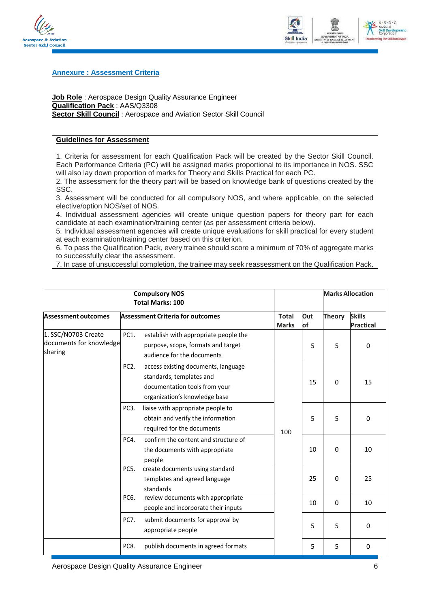



#### <span id="page-8-0"></span>**Annexure : Assessment Criteria**

**Job Role** : Aerospace Design Quality Assurance Engineer **Qualification Pack** : AAS/Q3308 **Sector Skill Council** : Aerospace and Aviation Sector Skill Council

### **Guidelines for Assessment**

1. Criteria for assessment for each Qualification Pack will be created by the Sector Skill Council. Each Performance Criteria (PC) will be assigned marks proportional to its importance in NOS. SSC will also lay down proportion of marks for Theory and Skills Practical for each PC.

2. The assessment for the theory part will be based on knowledge bank of questions created by the SSC.

3. Assessment will be conducted for all compulsory NOS, and where applicable, on the selected elective/option NOS/set of NOS.

4. Individual assessment agencies will create unique question papers for theory part for each candidate at each examination/training center (as per assessment criteria below).

5. Individual assessment agencies will create unique evaluations for skill practical for every student at each examination/training center based on this criterion.

6. To pass the Qualification Pack, every trainee should score a minimum of 70% of aggregate marks to successfully clear the assessment.

7. In case of unsuccessful completion, the trainee may seek reassessment on the Qualification Pack.

|                                                           | <b>Compulsory NOS</b><br><b>Total Marks: 100</b> |                                                                                                                                   |                              |           |               | <b>Marks Allocation</b>           |
|-----------------------------------------------------------|--------------------------------------------------|-----------------------------------------------------------------------------------------------------------------------------------|------------------------------|-----------|---------------|-----------------------------------|
| Assessment outcomes                                       |                                                  | <b>Assessment Criteria for outcomes</b>                                                                                           | <b>Total</b><br><b>Marks</b> | Out<br>of | <b>Theory</b> | <b>Skills</b><br><b>Practical</b> |
| 1. SSC/N0703 Create<br>documents for knowledge<br>sharing | PC1.                                             | establish with appropriate people the<br>purpose, scope, formats and target<br>audience for the documents                         |                              | 5         | 5             | 0                                 |
|                                                           | PC <sub>2</sub> .                                | access existing documents, language<br>standards, templates and<br>documentation tools from your<br>organization's knowledge base | 15<br>5<br>100<br>10<br>25   |           | $\Omega$      | 15                                |
|                                                           | PC3.                                             | liaise with appropriate people to<br>obtain and verify the information<br>required for the documents                              |                              | 5         | 0             |                                   |
|                                                           | PC4.                                             | confirm the content and structure of<br>the documents with appropriate<br>people                                                  |                              | $\Omega$  | 10            |                                   |
|                                                           | PC5.                                             | create documents using standard<br>templates and agreed language<br>standards                                                     |                              | $\Omega$  | 25            |                                   |
|                                                           | PC6.                                             | review documents with appropriate<br>people and incorporate their inputs                                                          |                              | 10        | $\Omega$      | 10                                |
|                                                           | PC7.                                             | submit documents for approval by<br>appropriate people                                                                            |                              | 5         | 5             | $\mathbf 0$                       |
|                                                           | PC8.                                             | publish documents in agreed formats                                                                                               |                              | 5         | 5             | 0                                 |

Aerospace Design Quality Assurance Engineer 6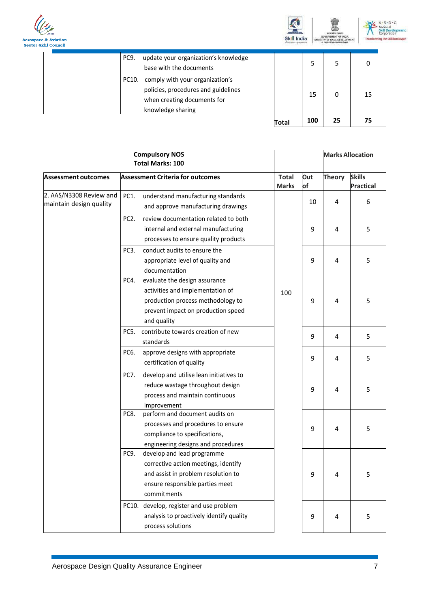





| update your organization's knowledge<br>PC <sub>9</sub><br>base with the documents                                                  |       |     |    | 0  |
|-------------------------------------------------------------------------------------------------------------------------------------|-------|-----|----|----|
| comply with your organization's<br>PC10.<br>policies, procedures and guidelines<br>when creating documents for<br>knowledge sharing |       | 15  | 0  | 15 |
|                                                                                                                                     | Total | 100 | 25 | 75 |

|                                                    | <b>Compulsory NOS</b><br><b>Total Marks: 100</b> |                                                                                                                                                             |                              |           | <b>Marks Allocation</b> |                                   |
|----------------------------------------------------|--------------------------------------------------|-------------------------------------------------------------------------------------------------------------------------------------------------------------|------------------------------|-----------|-------------------------|-----------------------------------|
| Assessment outcomes                                |                                                  | <b>Assessment Criteria for outcomes</b>                                                                                                                     | <b>Total</b><br><b>Marks</b> | Out<br>of | <b>Theory</b>           | <b>Skills</b><br><b>Practical</b> |
| 2. AAS/N3308 Review and<br>maintain design quality | PC1.                                             | understand manufacturing standards<br>and approve manufacturing drawings                                                                                    |                              | 10        | 4                       | 6                                 |
|                                                    | PC <sub>2</sub> .                                | review documentation related to both<br>internal and external manufacturing<br>processes to ensure quality products                                         |                              | 9         | 4                       | 5                                 |
|                                                    | PC <sub>3</sub> .                                | conduct audits to ensure the<br>appropriate level of quality and<br>documentation                                                                           | 100                          | 9         | 4                       | 5                                 |
|                                                    | PC4.                                             | evaluate the design assurance<br>activities and implementation of<br>production process methodology to<br>prevent impact on production speed<br>and quality |                              | 9         | 4                       | 5                                 |
|                                                    | PC5.                                             | contribute towards creation of new<br>standards                                                                                                             |                              | 9         | 4                       | 5                                 |
|                                                    | PC6.                                             | approve designs with appropriate<br>certification of quality                                                                                                |                              | 9         | 4                       | 5                                 |
|                                                    | PC7.                                             | develop and utilise lean initiatives to<br>reduce wastage throughout design<br>process and maintain continuous<br>improvement                               |                              | 9         | 4                       | 5                                 |
|                                                    | PC8.                                             | perform and document audits on<br>processes and procedures to ensure<br>compliance to specifications,<br>engineering designs and procedures                 |                              | 9         | 4                       | 5                                 |
|                                                    | PC9.                                             | develop and lead programme<br>corrective action meetings, identify<br>and assist in problem resolution to<br>ensure responsible parties meet<br>commitments |                              | 9         | 4                       | 5                                 |
|                                                    | PC10.                                            | develop, register and use problem<br>analysis to proactively identify quality<br>process solutions                                                          |                              | 9         | 4                       | 5                                 |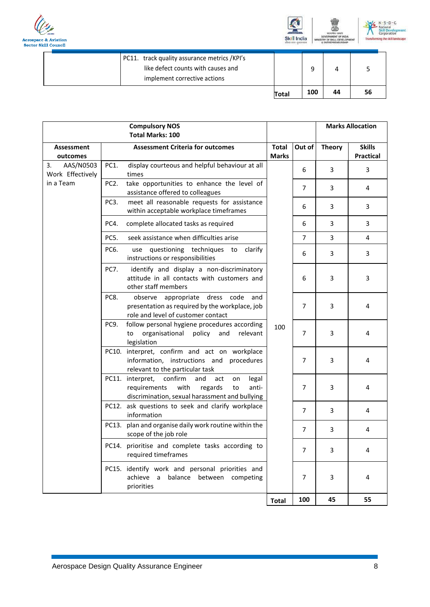





| PC11. track quality assurance metrics /KPI's<br>like defect counts with causes and<br>implement corrective actions |       |     |    |  |
|--------------------------------------------------------------------------------------------------------------------|-------|-----|----|--|
|                                                                                                                    | Total | 100 | 44 |  |

| <b>Compulsory NOS</b><br><b>Total Marks: 100</b> |                   |                                                                                                                                                        |                              |                |                | <b>Marks Allocation</b>    |
|--------------------------------------------------|-------------------|--------------------------------------------------------------------------------------------------------------------------------------------------------|------------------------------|----------------|----------------|----------------------------|
| Assessment<br>outcomes                           |                   | <b>Assessment Criteria for outcomes</b>                                                                                                                | <b>Total</b><br><b>Marks</b> | Out of         | <b>Theory</b>  | <b>Skills</b><br>Practical |
| 3.<br>AAS/N0503<br>Work Effectively              | PC1.              | display courteous and helpful behaviour at all<br>times                                                                                                |                              | 6              | 3              | 3                          |
| in a Team                                        | PC <sub>2</sub> . | take opportunities to enhance the level of<br>assistance offered to colleagues                                                                         |                              | 7              | 3              | 4                          |
|                                                  | PC3.              | meet all reasonable requests for assistance<br>within acceptable workplace timeframes                                                                  |                              | 6              | 3              | 3                          |
|                                                  | PC4.              | complete allocated tasks as required                                                                                                                   |                              | 6              | 3              | 3                          |
|                                                  | PC5.              | seek assistance when difficulties arise                                                                                                                |                              | $\overline{7}$ | $\overline{3}$ | 4                          |
|                                                  | PC6.              | use questioning techniques to clarify<br>instructions or responsibilities                                                                              |                              | 6              | 3              | 3                          |
|                                                  | <b>PC7.</b>       | identify and display a non-discriminatory<br>attitude in all contacts with customers and<br>other staff members                                        |                              | 6              | 3              | 3                          |
|                                                  | PC8.              | observe appropriate dress code and<br>presentation as required by the workplace, job<br>role and level of customer contact                             |                              | $\overline{7}$ | 3              | 4                          |
|                                                  | PC9.              | follow personal hygiene procedures according<br>organisational policy<br>and<br>relevant<br>to<br>legislation                                          | 100                          | $\overline{7}$ | 3              | 4                          |
|                                                  |                   | PC10. interpret, confirm and act on workplace<br>information, instructions and procedures<br>relevant to the particular task                           |                              | $\overline{7}$ | 3              | 4                          |
|                                                  |                   | PC11. interpret, confirm<br>and<br>act<br>legal<br>on<br>with regards<br>requirements<br>anti-<br>to<br>discrimination, sexual harassment and bullying |                              | $\overline{7}$ | 3              | 4                          |
|                                                  |                   | PC12. ask questions to seek and clarify workplace<br>information                                                                                       |                              | 7              | 3              | 4                          |
|                                                  | PC13.             | plan and organise daily work routine within the<br>scope of the job role                                                                               |                              | $\overline{7}$ | 3              | 4                          |
|                                                  |                   | PC14. prioritise and complete tasks according to<br>required timeframes                                                                                |                              | 7              | 3              | 4                          |
|                                                  |                   | PC15. identify work and personal priorities and<br>achieve a balance between competing<br>priorities                                                   |                              | $\overline{7}$ | 3              | 4                          |
|                                                  |                   |                                                                                                                                                        | <b>Total</b>                 | 100            | 45             | 55                         |